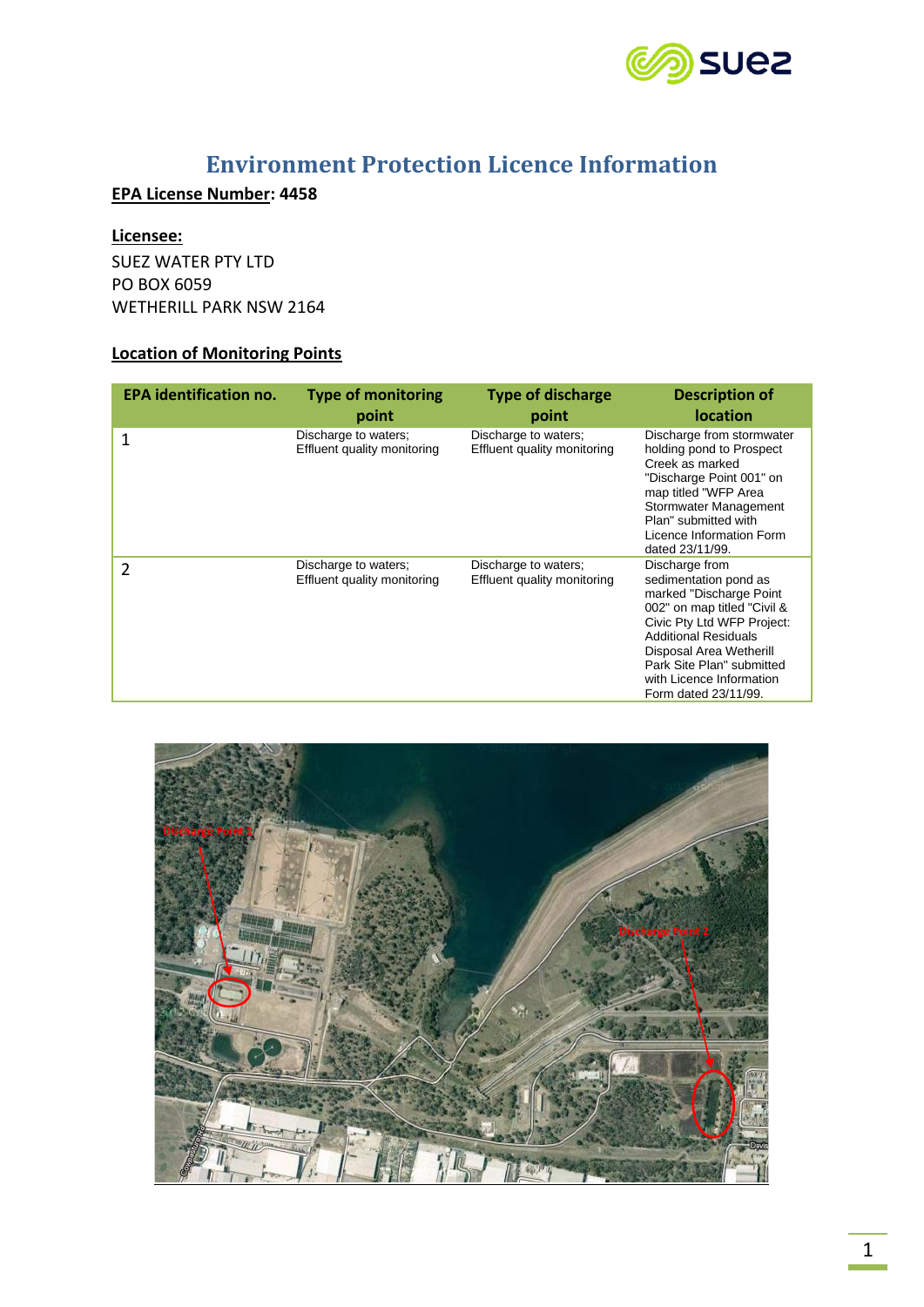

# **Environment Protection Licence Information**

## **EPA License Number: 4458**

#### **Licensee:**

SUEZ WATER PTY LTD PO BOX 6059 WETHERILL PARK NSW 2164

## **Location of Monitoring Points**

| <b>EPA identification no.</b> | <b>Type of monitoring</b><br>point                  | <b>Type of discharge</b><br>point                   | <b>Description of</b><br><b>location</b>                                                                                                                                                                                                                                   |
|-------------------------------|-----------------------------------------------------|-----------------------------------------------------|----------------------------------------------------------------------------------------------------------------------------------------------------------------------------------------------------------------------------------------------------------------------------|
| 1                             | Discharge to waters;<br>Effluent quality monitoring | Discharge to waters;<br>Effluent quality monitoring | Discharge from stormwater<br>holding pond to Prospect<br>Creek as marked<br>"Discharge Point 001" on<br>map titled "WFP Area<br>Stormwater Management<br>Plan" submitted with<br>Licence Information Form<br>dated 23/11/99.                                               |
| 2                             | Discharge to waters;<br>Effluent quality monitoring | Discharge to waters;<br>Effluent quality monitoring | Discharge from<br>sedimentation pond as<br>marked "Discharge Point<br>002" on map titled "Civil &<br>Civic Pty Ltd WFP Project:<br><b>Additional Residuals</b><br>Disposal Area Wetherill<br>Park Site Plan" submitted<br>with Licence Information<br>Form dated 23/11/99. |